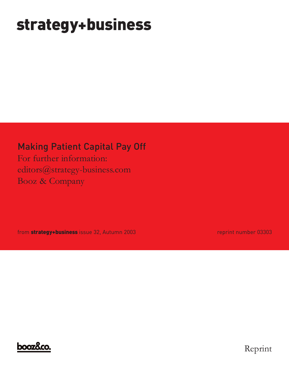# **strategy+business**

### Making Patient Capital Pay Off

For further information: editors@strategy-business.com Booz & Company

from **strategy+business** issue 32, Autumn 2003 **reprint number 03303** reprint number 03303



Reprint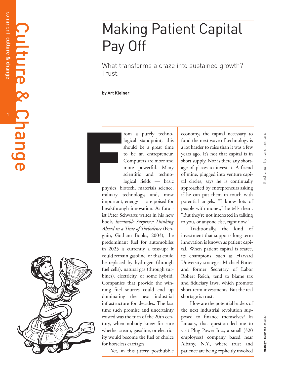## Making Patient Capital Pay Off

What transforms a craze into sustained growth? Trust.

#### **by Art Kleiner**

rom a purely technological standpoint, this should be a great time to be an entrepreneur. Computers are more and more powerful. Many scientific and technological fields — basic

physics, biotech, materials science, military technology, and, most important, energy — are poised for breakthrough innovation. As futurist Peter Schwartz writes in his new book, *Inevitable Surprises: Thinking Ahead in a Time of Turbulence* (Penguin, Gotham Books, 2003), the predominant fuel for automobiles in 2025 is currently a toss-up: It could remain gasoline, or that could be replaced by hydrogen (through fuel cells), natural gas (through turbines), electricity, or some hybrid. Companies that provide the winning fuel sources could end up dominating the next industrial infrastructure for decades. The last time such promise and uncertainty existed was the turn of the 20th century, when nobody knew for sure whether steam, gasoline, or electricity would become the fuel of choice for horseless carriages. Formulation<br>
Formulation<br>
Physics, bit<br>
Physics, bit<br>
Physics, bit<br>
Physics, bit<br>
Physics, bit<br>
Physics, bit<br>
Physics, bit<br>
Physics, bit<br>
Physics, bit<br>
Physics, bit<br>
Physics, bit<br>
Physics, bit<br>
Physics, bit<br>
Physics, bit<br>

Yet, in this jittery postbubble

economy, the capital necessary to fund the next wave of technology is a lot harder to raise than it was a few years ago. It 's not that capital is in short supply. Nor is there any shortage of places to invest it. A friend of mine, plugged into venture capital circles, says he is continually approached by entrepreneurs asking if he can put them in touch with potential angels. "I know lots of people with money, " he tells them. "But they're not interested in talking to you, or anyone else, right now. "

Traditionally, the kind of investment that supports long-term innovation is known as patient capital. When patient capital is scarce, its champions, such as Harvard University strategist Michael Porter and former Secretary of Labor Robert Reich, tend to blame tax and fiduciary laws, which promote short-term investments. But the real shortage is trust.

How are the potential leaders of the next industrial revolution supposed to finance themselves? In January, that question led me to visit Plug Power Inc., a small (320 employees) company based near Albany, N.Y., where trust and patience are being explicitly invoked

strategy + business issue 32

strategy+business issue 32

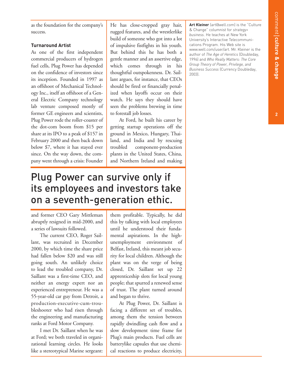**2**

as the foundation for the company's success.

### **Turnaround Artist**

As one of the first independent commercial producers of hydrogen fuel cells, Plug Power has depended on the confidence of investors since its inception. Founded in 1997 as an offshoot of Mechanical Technology Inc., itself an offshoot of a General Electric Company technology lab venture composed mostly of former GE engineers and scientists, Plug Power rode the roller-coaster of the dot-com boom from \$15 per share at its IPO to a peak of \$157 in February 2000 and then back down below \$7, where it has stayed ever since. On the way down, the company went through a crisis: Founder

He has close-cropped gray hair, rugged features, and the wrestlerlike build of someone who got into a lot of impulsive fistfights in his youth. But behind this he has both a gentle manner and an assertive edge, which comes through in his thoughtful outspokenness. Dr. Saillant argues, for instance, that CEOs should be fired or financially penalized when layoffs occur on their watch. He says they should have seen the problems brewing in time to forestall job losses.

At Ford, he built his career by getting startup operations off the ground in Mexico, Hungary, Thailand, and India and by rescuing troubled component-production plants in the United States, China, and Northern Ireland and making

### Plug Power can survive only if its employees and investors take on a seventh-generation ethic.

and former CEO Gary Mittleman abruptly resigned in mid-2000, and a series of lawsuits followed.

The current CEO, Roger Saillant, was recruited in December 2000, by which time the share price had fallen below \$20 and was still going south. An unlikely choice to lead the troubled company, Dr. Saillant was a first-time CEO, and neither an energy expert nor an experienced entrepreneur. He was a 55-year-old car guy from Detroit, a production-executive-cum-troubleshooter who had risen through the engineering and manufacturing ranks at Ford Motor Company.

I met Dr. Saillant when he was at Ford; we both traveled in organizational learning circles. He looks like a stereotypical Marine sergeant:

them profitable. Typically, he did this by talking with local employees until he understood their fundamental aspirations. In the highunemployment environment of Belfast, Ireland, this meant job security for local children. Although the plant was on the verge of being closed, Dr. Saillant set up 22 apprenticeship slots for local young people; that spurred a renewed sense of trust. The plant turned around and began to thrive.

At Plug Power, Dr. Saillant is facing a different set of troubles, among them the tension between rapidly dwindling cash flow and a slow development time frame for Plug's main products. Fuel cells are batterylike capsules that use chemical reactions to produce electricity,

**Art Kleiner** (art@well.com) is the "Culture & Change" columnist for *strategy+ business*. He teaches at New York University's Interactive Telecommunications Program. His Web site is www.well.com/user/art. Mr. Kleiner is the author of *The Age of Heretics* (Doubleday, 1996) and *Who Really Matters: The Core Group Theory of Power, Privilege, and Business Success* (Currency Doubleday, 2003).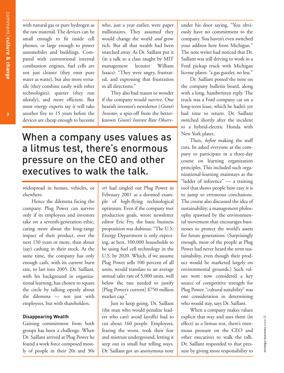with natural gas or pure hydrogen as the raw material. The devices can be small enough to fit inside cell phones, or large enough to power automobiles and buildings. Compared with conventional internal combustion engines, fuel cells are not just cleaner (they emit pure water as waste), but also more versatile (they combine easily with other technologies), quieter (they run silently), and more efficient. But most energy experts say it will take another five to 15 years before the devices are cheap enough to become

who, just a year earlier, were paper millionaires. They assumed they would change the world *and* grow rich. But all that wealth had been snatched away. As Dr. Saillant put it (in a talk to a class taught by MIT management lecturer William Isaacs): "They were angry, frustrated, and expressing that frustration in all directions."

They also had reason to wonder if the company would survive. One bearish investor's newsletter (*Grant's Investor*, a spin-off from the betterknown *Grant's Interest Rate Observ-*

### When a company uses values as a litmus test, there's enormous pressure on the CEO and other executives to walk the talk.

widespread in homes, vehicles, or elsewhere.

Hence the dilemma facing the company. Plug Power can survive only if its employees and investors take on a seventh-generation ethic, caring more about the long-range impact of their product, over the next 150 years or more, than about (say) cashing in their stock. At the same time, the company has only enough cash, with its current burn rate, to last into 2005. Dr. Saillant, with his background in organizational learning, has chosen to square the circle by talking openly about the dilemma — not just with employees, but with shareholders.

#### **Disappearing Wealth**

Gaining commitment from both groups has been a challenge. When Dr. Saillant arrived at Plug Power he found a work force composed mostly of people in their 20s and 30s

*er*) had singled out Plug Power in February 2001 as a doomed example of high-flying technological optimism. Even if the company met production goals, wrote newsletter editor Eric Fry, the basic business proposition was dubious: "The U.S. Energy Department is only expecting, at best, 100,000 households to be using fuel cell technology in the U.S. by 2020. Which, if we assume Plug Power sells 100 percent of all units, would translate to an average annual sales rate of 5,000 units, well below the rate needed to justify [Plug Power's current] \$750 million market cap."

Just to keep going, Dr. Saillant (the man who would penalize leaders who can't avoid layoffs) had to cut about 160 people. Employees, fearing the worst, took their fear and mistrust underground, letting it seep out in small but telling ways. Dr. Saillant got an anonymous note under his door saying, "You obviously have no commitment to the company. You haven't even switched your address here from Michigan." The note writer had noticed that Dr. Saillant was still driving to work in a Ford pickup truck with Michigan license plates: "a gas guzzler, no less."

Dr. Saillant posted the note on the company bulletin board, along with a long, handwritten reply. The truck was a Ford company car on a long-term lease, which he hadn't yet had time to return. Dr. Saillant switched shortly after the incident to a hybrid-electric Honda with New York plates.

Then, *before* making the staff cuts, he asked everyone at the company to participate in a three-day course on learning organization principles. This included such organizational-learning mainstays as the "ladder of inference" — a training tool that shows people how easy it is to jump to erroneous conclusions. The course also discussed the idea of sustainability, a management philosophy spawned by the environmental movement that encourages businesses to protect the world's assets for future generations. (Surprisingly enough, most of the people at Plug Power had never heard the term sustainability, even though their product would be marketed largely on environmental grounds.) Such values were now considered a key source of competitive strength for Plug Power; "cultural suitability" was one consideration in determining who would stay, says Dr. Saillant.

When a company makes values explicit that way and uses them (in effect) as a litmus test, there's enormous pressure on the CEO and other executives to walk the talk. Dr. Saillant responded to that pressure by giving more responsibility to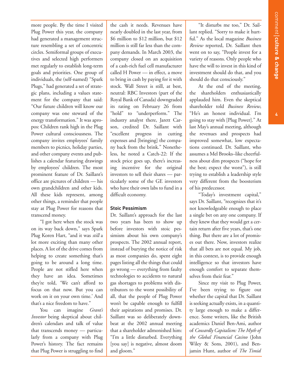**4**

more people. By the time I visited Plug Power this year, the company had generated a management structure resembling a set of concentric circles. Semiformal groups of executives and selected high performers met regularly to establish long-term goals and priorities. One group of individuals, the (self-named) "Spark Plugs," had generated a set of strategic plans, including a values statement for the company that said: "Our future children will know our company was one steward of the energy transformation." It was apropos: Children rank high in the Plug Power cultural consciousness. The company invites employees' family members to picnics, holiday parties, and other company events and publishes a calendar featuring drawings by employees' children. The most prominent feature of Dr. Saillant's office are pictures of children — his own grandchildren and other kids. All these kids represent, among other things, a reminder that people stay at Plug Power for reasons that transcend money.

"I got here when the stock was on its way back down," says Spark Plug Koren Hart, "and it was *still* a lot more exciting than many other places. A lot of the drive comes from helping to create something that's going to be around a long time. People are not stifled here when they have an idea. Sometimes they're told, 'We can't afford to focus on that now. But you can work on it on your own time.' And that's a nice freedom to have."

You can imagine *Grant's Investor* being skeptical about children's calendars and talk of value that transcends money — particularly from a company with Plug Power's history. The fact remains that Plug Power is struggling to find

the cash it needs. Revenues have nearly doubled in the last year, from \$6 million to \$12 million, but \$12 million is still far less than the company demands. In March 2003, the company closed on an acquisition of a cash-rich fuel cell manufacturer called H Power — in effect, a move to bring in cash by paying for it with stock. Wall Street is still, at best, neutral: RBC Investors (part of the Royal Bank of Canada) downgraded its rating on February 26 from "hold" to "underperform." The industry analyst there, Jarett Carson, credited Dr. Saillant with "excellent progress in cutting expenses and [bringing] the company back from the brink." Nonetheless, he noted a Catch-22: If the stock price goes up, there's increasing incentive for the original investors to sell their shares — particularly some of the GE investors who have their own labs to fund in a difficult economy.

#### **Stoic Pessimism**

Dr. Saillant's approach for the last two years has been to show up before investors with stoic pessimism about his own company's prospects. The 2002 annual report, instead of burying the notice of risk as most companies do, spent eight pages listing all the things that could go wrong — everything from faulty technologies to accidents to natural gas shortages to problems with distributors to the worst possibility of all, that the people of Plug Power won't be capable enough to fulfill their aspirations and promises. Dr. Saillant was so deliberately downbeat at the 2002 annual meeting that a shareholder admonished him: "I'm a little disturbed. Everything [you say] is negative, almost doom and gloom."

"It disturbs me too," Dr. Saillant replied. "Sorry to make it hurtful." As the local magazine *Business Review* reported, Dr. Saillant then went on to say, "People invest for a variety of reasons. Only people who have the will to invest in this kind of investment should do that, and you should do that consciously."

At the end of the meeting, the shareholders enthusiastically applauded him. Even the skeptical shareholder told *Business Review*, "He's an honest individual. I'm going to stay with [Plug Power]." At last May's annual meeting, although the revenues and prospects had improved somewhat, low expectations continued. Dr. Saillant, who assumes a Mel Brooks–like cheerfulness about dim prospects ("hope for the best; expect the worst"), is still trying to establish a leadership style very different from the boosterism of his predecessor.

"Today's investment capital," says Dr. Saillant, "recognizes that it's not knowledgeable enough to place a single bet on any one company. If they knew that they would get a certain return after five years, that's one thing. But there are a lot of promises out there. Now, investors realize that all bets are not equal. My job, in this context, is to provide enough intelligence so that investors have enough comfort to separate themselves from their fear."

Since my visit to Plug Power, I've been trying to figure out whether the capital that Dr. Saillant is seeking actually exists, in a quantity large enough to make a difference. Some writers, like the British academics Daniel Ben-Ami, author of *Cowardly Capitalism: The Myth of the Global Financial Casino* (John Wiley & Sons, 2001), and Benjamin Hunt, author of *The Timid*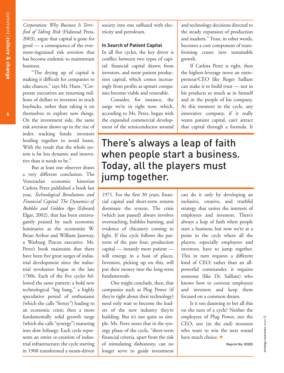*Corporation: Why Business Is Terrified of Taking Risk* (Halstead Press, 2003), argue that capital is gone for good — a consequence of the evermore-ingrained risk aversion that has become endemic to mainstream business.

"The drying up of capital is making it difficult for companies to take chances," says Mr. Hunt. "Corporate executives are returning millions of dollars to investors in stock buybacks, rather than taking it on themselves to explore new things. On the investment side, the same risk aversion shows up in the rise of index tracking funds: investors herding together to avoid losses. With the result that the whole system is far less dynamic and innovative than it needs to be."

But at least one observer draws a very different conclusion. The Venezuelan economic historian Carlota Perez published a book last year, *Technological Revolutions and Financial Capital: The Dynamics of Bubbles and Golden Ages* (Edward Elgar, 2002), that has been extravagantly praised by such economic luminaries as the economist W. Brian Arthur and William Janeway, a Warburg Pincus executive. Ms. Perez's book maintains that there have been five great surges of industrial development since the industrial revolution began in the late 1700s. Each of the five cycles followed the same pattern: a bold new technological "big bang," a highly speculative period of enthusiasm (which she calls "frenzy") leading to an economic crisis; then a more fundamentally solid growth surge (which she calls "synergy") maturing into slow lethargy. Each cycle represents an entire re-creation of industrial infrastructure; the cycle starting in 1908 transformed a steam-driven

society into one suffused with electricity and petroleum.

#### **In Search of Patient Capital**

In all five cycles, the key driver is conflict between two types of capital: financial capital drawn from investors, and more patient production capital, which comes increasingly from profits as upstart companies become viable and venerable.

Consider, for instance, the surge we're in right now, which, according to Ms. Perez, began with the expanded commercial development of the semiconductor around and technology decisions directed to the steady expansion of production and markets." Trust, in other words, becomes a core component of transforming crazes into sustainable growth.

If Carlota Perez is right, then the highest-leverage move an entrepreneur/CEO like Roger Saillant can make is to build trust — not in his products so much as in himself and in the people of his company. At this moment in the cycle, any innovative company, if it really wants patient capital, can't attract that capital through a formula. It

### There's always a leap of faith when people start a business. Today, all the players must jump together.

1971. For the first 30 years, financial capital and short-term returns dominate the system. The crisis (which just passed) always involves overreaching, bubbles bursting, and evidence of chicanery coming to light. If this cycle follows the patterns of the past four, production capital — innately more patient will emerge in a host of places. Investors, picking up on this, will put their money into the long-term fundamentals.

One might conclude, then, that companies such as Plug Power (if they're right about their technology) need only wait to become the leaders of the new industry they're building. But it's not quite so simple. Ms. Perez notes that in the synergy phase of the cycle, "short-term financial criteria, apart from the risk of stimulating dishonesty, can no longer serve to guide investment

can do it only by developing an inclusive, creative, and truthful strategy that unites the interests of employees and investors. There's always a leap of faith when people start a business; but now we're at a point in the cycle where all the players, especially employees and investors, have to jump together. This in turn requires a different kind of CEO; rather than an allpowerful commander, it requires someone (like Dr. Saillant) who knows how to convene employees and investors and keep them focused on a common dream.

Is it too daunting to bet all this on the turn of a cycle? Neither the employees of Plug Power, nor the CEO, nor (in the end) investors who want to win the next round have much choice.  $\pm$